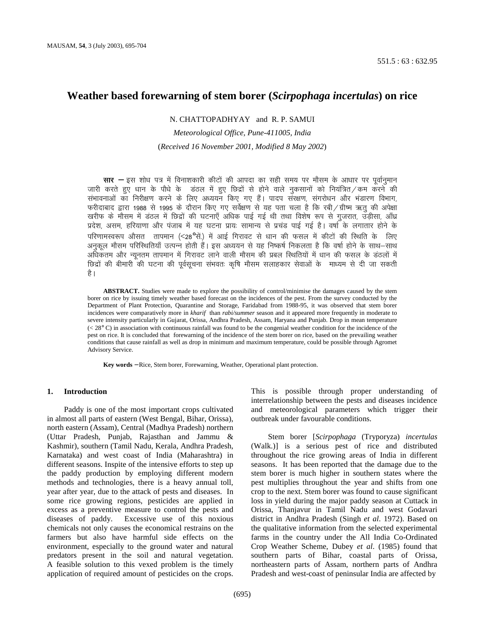## **Weather based forewarning of stem borer (***Scirpophaga incertulas***) on rice**

## N. CHATTOPADHYAY and R. P. SAMUI

# *Meteorological Office, Pune-411005, India*  (*Received 16 November 2001, Modified 8 May 2002*)

**सार** − इस शोध पत्र में विनाशकारी कीटों की आपदा का सही समय पर मौसम के आधार पर पर्वानमान *tkjh djrs gq, /kku d¢ ikS/k s d¢ MaBy esa gq, fNnzksa ls gk sus okys uqdlkuk sa dks fu;af=r@de djus dh laHkkoukvksa dk fujh{k.k djus ds fy, v/;;u fd, x, gSaA ikni laj{k.k] laxjk s/ku vkSj Hk aMkj.k foHkkx]*  फरीदाबाद द्वारा 1988 से 1995 के दौरान किए गए सर्वेक्षण से यह पता चला है कि रबी∕ग्रीष्म ऋतु की अपेक्षा *[kjhQ d s ekSle esa MaBy esa fNnzk s a dh ?kVuk,¡ vf/kd ikbZ xbZ Fkh rFkk fo'ks"k :Ik ls xqtjkr] mM+hlk] vk¡/kz izns'k] vle] gfj;k.kk vkSj iatkc esa ;g ?kVuk izk;% lkekU; ls izp aM ikbZ xbZ gSA o"kk Z d ¢ yxkrkj gk sus d ¢ ifj.kkeLo:Ik vkSlr rkieku ¼*<*28*°*lsa-½ esa vkbZ fxjkoV ls /kku dh Qly esa dhVk sa dh fLFkfr d ¢ fy,*  अनुकूल मौसम परिस्थितियाँ उत्पन्न होती हैं। इस अध्ययन से यह निष्कर्ष निकलता है कि वर्षा होने के साथ–साथ अधिकतम और न्युनतम तापमान में गिरावट लाने वाली मौसम की प्रबल स्थितियों में धान की फसल के डंठलों में *fNnzk sa dh chekjh dh ?kVuk dh iwoZlwpuk laHkor% d `f"k ekSle lykgdkj lsokvksa d ¢ ek/;e ls nh tk ldrh*  है ।

**ABSTRACT.** Studies were made to explore the possibility of control/minimise the damages caused by the stem borer on rice by issuing timely weather based forecast on the incidences of the pest. From the survey conducted by the Department of Plant Protection, Quarantine and Storage, Faridabad from 1988-95, it was observed that stem borer incidences were comparatively more in *kharif* than *rabi/summer* season and it appeared more frequently in moderate to severe intensity particularly in Gujarat, Orissa, Andhra Pradesh, Assam, Haryana and Punjab. Drop in mean temperature (< 28° C) in association with continuous rainfall was found to be the congenial weather condition for the incidence of the pest on rice. It is concluded that forewarning of the incidence of the stem borer on rice, based on the prevailing weather conditions that cause rainfall as well as drop in minimum and maximum temperature, could be possible through Agromet Advisory Service.

**Key words** − Rice, Stem borer, Forewarning, Weather, Operational plant protection.

#### **1. Introduction**

Paddy is one of the most important crops cultivated in almost all parts of eastern (West Bengal, Bihar, Orissa), north eastern (Assam), Central (Madhya Pradesh) northern (Uttar Pradesh, Punjab, Rajasthan and Jammu & Kashmir), southern (Tamil Nadu, Kerala, Andhra Pradesh, Karnataka) and west coast of India (Maharashtra) in different seasons. Inspite of the intensive efforts to step up the paddy production by employing different modern methods and technologies, there is a heavy annual toll, year after year, due to the attack of pests and diseases. In some rice growing regions, pesticides are applied in excess as a preventive measure to control the pests and diseases of paddy. Excessive use of this noxious chemicals not only causes the economical restrains on the farmers but also have harmful side effects on the environment, especially to the ground water and natural predators present in the soil and natural vegetation. A feasible solution to this vexed problem is the timely application of required amount of pesticides on the crops.

This is possible through proper understanding of interrelationship between the pests and diseases incidence and meteorological parameters which trigger their outbreak under favourable conditions.

Stem borer [*Scirpophaga* (Tryporyza) *incertulas*  (Walk.)] is a serious pest of rice and distributed throughout the rice growing areas of India in different seasons. It has been reported that the damage due to the stem borer is much higher in southern states where the pest multiplies throughout the year and shifts from one crop to the next. Stem borer was found to cause significant loss in yield during the major paddy season at Cuttack in Orissa, Thanjavur in Tamil Nadu and west Godavari district in Andhra Pradesh (Singh *et al*. 1972). Based on the qualitative information from the selected experimental farms in the country under the All India Co-Ordinated Crop Weather Scheme, Dubey *et al*. (1985) found that southern parts of Bihar, coastal parts of Orissa, northeastern parts of Assam, northern parts of Andhra Pradesh and west-coast of peninsular India are affected by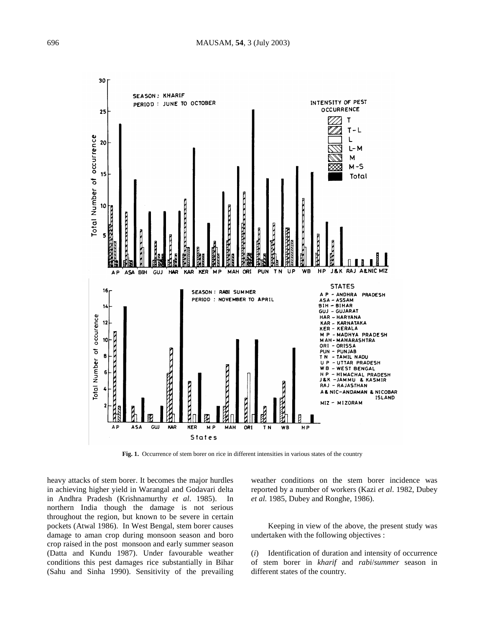

**Fig. 1.** Occurrence of stem borer on rice in different intensities in various states of the country

heavy attacks of stem borer. It becomes the major hurdles in achieving higher yield in Warangal and Godavari delta in Andhra Pradesh (Krishnamurthy *et al*. 1985). In northern India though the damage is not serious throughout the region, but known to be severe in certain pockets (Atwal 1986). In West Bengal, stem borer causes damage to aman crop during monsoon season and boro crop raised in the post monsoon and early summer season (Datta and Kundu 1987). Under favourable weather conditions this pest damages rice substantially in Bihar (Sahu and Sinha 1990). Sensitivity of the prevailing

weather conditions on the stem borer incidence was reported by a number of workers (Kazi *et al*. 1982, Dubey *et al.* 1985, Dubey and Ronghe, 1986).

Keeping in view of the above, the present study was undertaken with the following objectives :

(*i*) Identification of duration and intensity of occurrence of stem borer in *kharif* and *rabi*/*summer* season in different states of the country.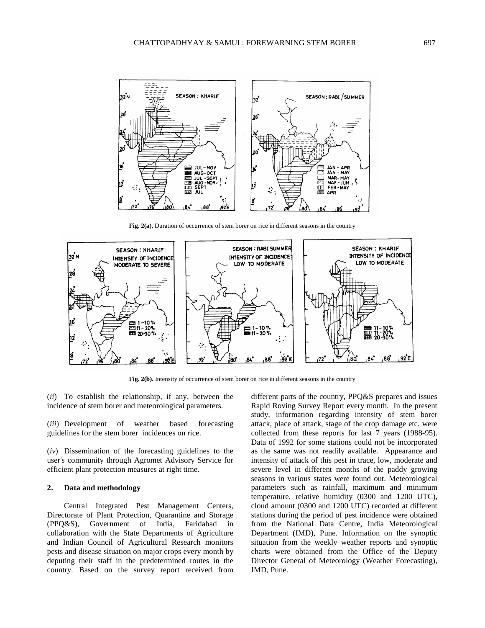

Fig. 2(a). Duration of occurrence of stem borer on rice in different seasons in the country



**Fig. 2(b).** Intensity of occurrence of stem borer on rice in different seasons in the country

(*ii*) To establish the relationship, if any, between the incidence of stem borer and meteorological parameters.

(*iii*) Development of weather based forecasting guidelines for the stem borer incidences on rice.

(*iv*) Dissemination of the forecasting guidelines to the user's community through Agromet Advisory Service for efficient plant protection measures at right time.

## **2. Data and methodology**

Central Integrated Pest Management Centers, Directorate of Plant Protection, Quarantine and Storage (PPQ&S), Government of India, Faridabad in collaboration with the State Departments of Agriculture and Indian Council of Agricultural Research monitors pests and disease situation on major crops every month by deputing their staff in the predetermined routes in the country. Based on the survey report received from

different parts of the country, PPQ&S prepares and issues Rapid Roving Survey Report every month. In the present study, information regarding intensity of stem borer attack, place of attack, stage of the crop damage etc. were collected from these reports for last 7 years (1988-95). Data of 1992 for some stations could not be incorporated as the same was not readily available. Appearance and intensity of attack of this pest in trace, low, moderate and severe level in different months of the paddy growing seasons in various states were found out. Meteorological parameters such as rainfall, maximum and minimum temperature, relative humidity (0300 and 1200 UTC), cloud amount (0300 and 1200 UTC) recorded at different stations during the period of pest incidence were obtained from the National Data Centre, India Meteorological Department (IMD), Pune. Information on the synoptic situation from the weekly weather reports and synoptic charts were obtained from the Office of the Deputy Director General of Meteorology (Weather Forecasting), IMD, Pune.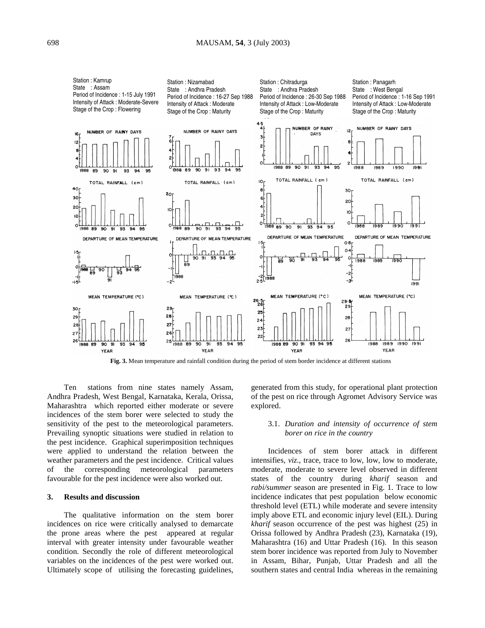

**Fig. 3.** Mean temperature and rainfall condition during the period of stem border incidence at different stations

Ten stations from nine states namely Assam, Andhra Pradesh, West Bengal, Karnataka, Kerala, Orissa, Maharashtra which reported either moderate or severe incidences of the stem borer were selected to study the sensitivity of the pest to the meteorological parameters. Prevailing synoptic situations were studied in relation to the pest incidence. Graphical superimposition techniques were applied to understand the relation between the weather parameters and the pest incidence. Critical values of the corresponding meteorological parameters favourable for the pest incidence were also worked out.

#### **3. Results and discussion**

The qualitative information on the stem borer incidences on rice were critically analysed to demarcate the prone areas where the pest appeared at regular interval with greater intensity under favourable weather condition. Secondly the role of different meteorological variables on the incidences of the pest were worked out. Ultimately scope of utilising the forecasting guidelines, generated from this study, for operational plant protection of the pest on rice through Agromet Advisory Service was explored.

### 3.1. *Duration and intensity of occurrence of stem borer on rice in the country*

Incidences of stem borer attack in different intensifies, *viz*., trace, trace to low, low, low to moderate, moderate, moderate to severe level observed in different states of the country during *kharif* season and *rabi/summer* season are presented in Fig. 1. Trace to low incidence indicates that pest population below economic threshold level (ETL) while moderate and severe intensity imply above ETL and economic injury level (EIL). During *kharif* season occurrence of the pest was highest (25) in Orissa followed by Andhra Pradesh (23), Karnataka (19), Maharashtra (16) and Uttar Pradesh (16). In this season stem borer incidence was reported from July to November in Assam, Bihar, Punjab, Uttar Pradesh and all the southern states and central India whereas in the remaining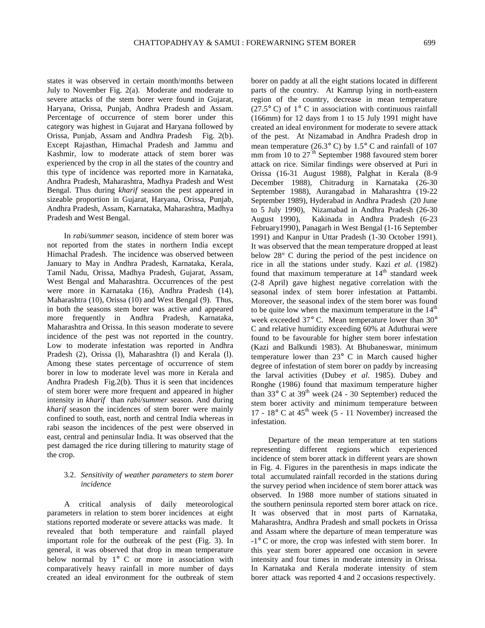states it was observed in certain month/months between July to November Fig. 2(a). Moderate and moderate to severe attacks of the stem borer were found in Gujarat, Haryana, Orissa, Punjab, Andhra Pradesh and Assam. Percentage of occurrence of stem borer under this category was highest in Gujarat and Haryana followed by Orissa, Punjab, Assam and Andhra Pradesh Fig. 2(b). Except Rajasthan, Himachal Pradesh and Jammu and Kashmir, low to moderate attack of stem borer was experienced by the crop in all the states of the country and this type of incidence was reported more in Karnataka, Andhra Pradesh, Maharashtra, Madhya Pradesh and West Bengal. Thus during *kharif* season the pest appeared in sizeable proportion in Gujarat, Haryana, Orissa, Punjab, Andhra Pradesh, Assam, Karnataka, Maharashtra, Madhya Pradesh and West Bengal.

In *rabi/summer* season, incidence of stem borer was not reported from the states in northern India except Himachal Pradesh. The incidence was observed between January to May in Andhra Pradesh, Karnataka, Kerala, Tamil Nadu, Orissa, Madhya Pradesh, Gujarat, Assam, West Bengal and Maharashtra. Occurrences of the pest were more in Karnataka (16), Andhra Pradesh (14), Maharashtra (10), Orissa (10) and West Bengal (9). Thus, in both the seasons stem borer was active and appeared more frequently in Andhra Pradesh, Karnataka, Maharashtra and Orissa. In this season moderate to severe incidence of the pest was not reported in the country. Low to moderate infestation was reported in Andhra Pradesh (2), Orissa (1), Maharashtra (1) and Kerala (1). Among these states percentage of occurrence of stem borer in low to moderate level was more in Kerala and Andhra Pradesh Fig.2(b). Thus it is seen that incidences of stem borer were more frequent and appeared in higher intensity in *kharif* than *rabi/summer* season. And during *kharif* season the incidences of stem borer were mainly confined to south, east, north and central India whereas in rabi season the incidences of the pest were observed in east, central and peninsular India. It was observed that the pest damaged the rice during tillering to maturity stage of the crop.

### 3.2. *Sensitivity of weather parameters to stem borer incidence*

A critical analysis of daily meteorological parameters in relation to stem borer incidences at eight stations reported moderate or severe attacks was made. It revealed that both temperature and rainfall played important role for the outbreak of the pest (Fig. 3). In general, it was observed that drop in mean temperature below normal by 1° C or more in association with comparatively heavy rainfall in more number of days created an ideal environment for the outbreak of stem borer on paddy at all the eight stations located in different parts of the country. At Kamrup lying in north-eastern region of the country, decrease in mean temperature (27.5 $\degree$  C) of 1 $\degree$  C in association with continuous rainfall (166mm) for 12 days from 1 to 15 July 1991 might have created an ideal environment for moderate to severe attack of the pest. At Nizamabad in Andhra Pradesh drop in mean temperature (26.3 $\degree$  C) by 1.5 $\degree$  C and rainfall of 107 mm from  $10$  to  $27<sup>th</sup>$  September 1988 favoured stem borer attack on rice. Similar findings were observed at Puri in Orissa (16-31 August 1988), Palghat in Kerala (8-9 December 1988), Chitradurg in Karnataka (26-30 September 1988), Aurangabad in Maharashtra (19-22 September 1989), Hyderabad in Andhra Pradesh (20 June to 5 July 1990), Nizamabad in Andhra Pradesh (26-30 August 1990), Kakinada in Andhra Pradesh (6-23 February1990), Panagarh in West Bengal (1-16 September 1991) and Kanpur in Uttar Pradesh (1-30 October 1991). It was observed that the mean temperature dropped at least below 28° C during the period of the pest incidence on rice in all the stations under study. Kazi *et al.* (1982) found that maximum temperature at  $14<sup>th</sup>$  standard week (2-8 April) gave highest negative correlation with the seasonal index of stem borer infestation at Pattambi. Moreover, the seasonal index of the stem borer was found to be quite low when the maximum temperature in the  $14<sup>th</sup>$ week exceeded 37° C. Mean temperature lower than 30° C and relative humidity exceeding 60% at Aduthurai were found to be favourable for higher stem borer infestation (Kazi and Balkundi 1983). At Bhubaneswar, minimum temperature lower than 23° C in March caused higher degree of infestation of stem borer on paddy by increasing the larval activities (Dubey *et al*. 1985). Dubey and Ronghe (1986) found that maximum temperature higher than  $33^{\circ}$  C at  $39^{\text{th}}$  week (24 - 30 September) reduced the stem borer activity and minimum temperature between 17 -  $18^{\circ}$  C at  $45^{\text{th}}$  week (5 - 11 November) increased the infestation.

Departure of the mean temperature at ten stations representing different regions which experienced incidence of stem borer attack in different years are shown in Fig. 4. Figures in the parenthesis in maps indicate the total accumulated rainfall recorded in the stations during the survey period when incidence of stem borer attack was observed. In 1988 more number of stations situated in the southern peninsula reported stem borer attack on rice. It was observed that in most parts of Karnataka, Maharashtra, Andhra Pradesh and small pockets in Orissa and Assam where the departure of mean temperature was -1° C or more, the crop was infested with stem borer. In this year stem borer appeared one occasion in severe intensity and four times in moderate intensity in Orissa. In Karnataka and Kerala moderate intensity of stem borer attack was reported 4 and 2 occasions respectively.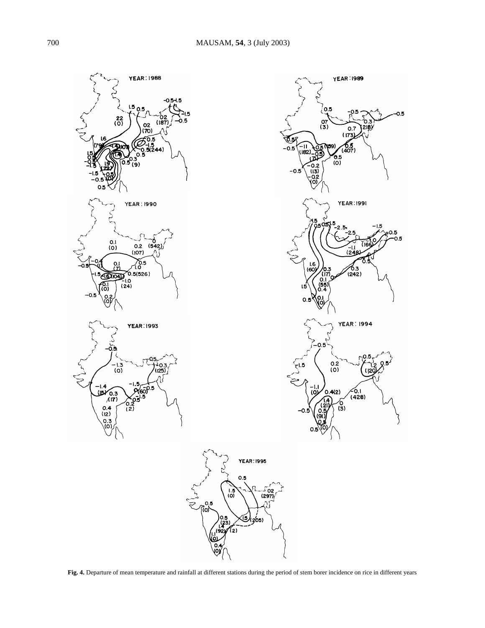

**Fig. 4.** Departure of mean temperature and rainfall at different stations during the period of stem borer incidence on rice in different years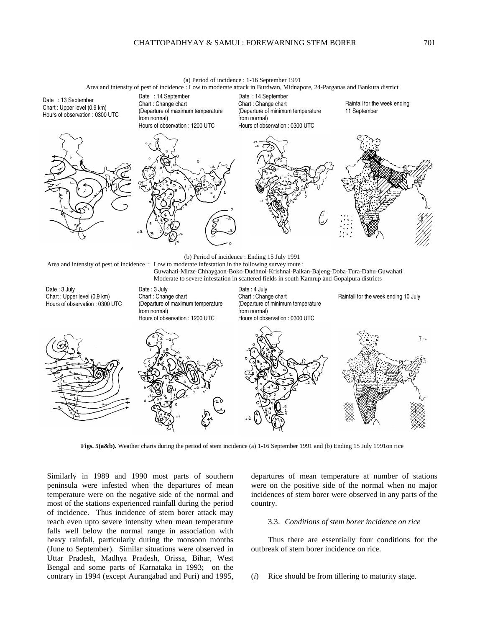

Date : 3 July Chart : Upper level (0.9 km) Hours of observation : 0300 UTC Date : 3 July Chart : Change chart (Departure of maximum temperature from normal) Hours of observation : 1200 UTC

Date : 4 July Chart : Change chart (Departure of minimum temperature from normal) Hours of observation : 0300 UTC

Rainfall for the week ending 10 July



**Figs. 5(a&b).** Weather charts during the period of stem incidence (a) 1-16 September 1991 and (b) Ending 15 July 1991on rice

Similarly in 1989 and 1990 most parts of southern peninsula were infested when the departures of mean temperature were on the negative side of the normal and most of the stations experienced rainfall during the period of incidence. Thus incidence of stem borer attack may reach even upto severe intensity when mean temperature falls well below the normal range in association with heavy rainfall, particularly during the monsoon months (June to September). Similar situations were observed in Uttar Pradesh, Madhya Pradesh, Orissa, Bihar, West Bengal and some parts of Karnataka in 1993; on the contrary in 1994 (except Aurangabad and Puri) and 1995,

departures of mean temperature at number of stations were on the positive side of the normal when no major incidences of stem borer were observed in any parts of the country.

#### 3.3. *Conditions of stem borer incidence on rice*

Thus there are essentially four conditions for the outbreak of stem borer incidence on rice.

(*i*) Rice should be from tillering to maturity stage.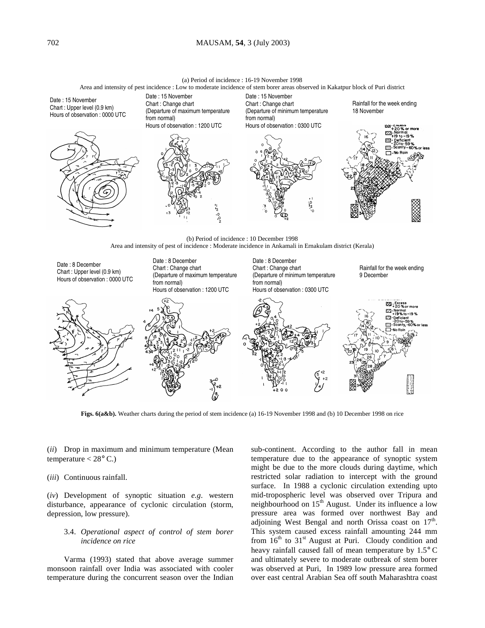## 702 MAUSAM, **54**, 3 (July 2003)

(a) Period of incidence : 16-19 November 1998

Area and intensity of pest incidence : Low to moderate incidence of stem borer areas observed in Kakatpur block of Puri district



**Figs. 6(a&b).** Weather charts during the period of stem incidence (a) 16-19 November 1998 and (b) 10 December 1998 on rice

(*ii*) Drop in maximum and minimum temperature (Mean temperature  $< 28^{\circ}$  C.)

(*iii*) Continuous rainfall.

(*iv*) Development of synoptic situation *e.g*. western disturbance, appearance of cyclonic circulation (storm, depression, low pressure).

## 3.4. *Operational aspect of control of stem borer incidence on rice*

Varma (1993) stated that above average summer monsoon rainfall over India was associated with cooler temperature during the concurrent season over the Indian

sub-continent. According to the author fall in mean temperature due to the appearance of synoptic system might be due to the more clouds during daytime, which restricted solar radiation to intercept with the ground surface. In 1988 a cyclonic circulation extending upto mid-tropospheric level was observed over Tripura and neighbourhood on 15<sup>th</sup> August. Under its influence a low pressure area was formed over northwest Bay and adjoining West Bengal and north Orissa coast on  $17<sup>th</sup>$ . This system caused excess rainfall amounting 244 mm from  $16<sup>th</sup>$  to  $31<sup>st</sup>$  August at Puri. Cloudy condition and heavy rainfall caused fall of mean temperature by 1.5° C and ultimately severe to moderate outbreak of stem borer was observed at Puri, In 1989 low pressure area formed over east central Arabian Sea off south Maharashtra coast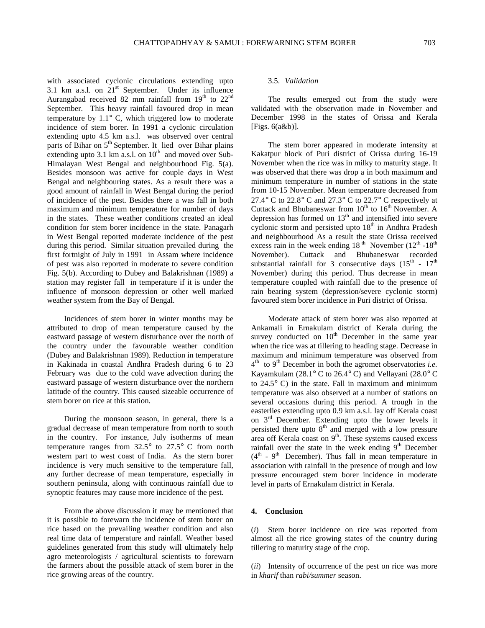with associated cyclonic circulations extending upto 3.1 km a.s.l. on  $21<sup>st</sup>$  September. Under its influence Aurangabad received 82 mm rainfall from  $19<sup>th</sup>$  to  $22<sup>nd</sup>$ September. This heavy rainfall favoured drop in mean temperature by 1.1° C, which triggered low to moderate incidence of stem borer. In 1991 a cyclonic circulation extending upto 4.5 km a.s.l. was observed over central parts of Bihar on 5<sup>th</sup> September. It lied over Bihar plains extending upto 3.1 km a.s.l. on  $10^{th}$  and moved over Sub-Himalayan West Bengal and neighbourhood Fig. 5(a). Besides monsoon was active for couple days in West Bengal and neighbouring states. As a result there was a good amount of rainfall in West Bengal during the period of incidence of the pest. Besides there a was fall in both maximum and minimum temperature for number of days in the states. These weather conditions created an ideal condition for stem borer incidence in the state. Panagarh in West Bengal reported moderate incidence of the pest during this period. Similar situation prevailed during the first fortnight of July in 1991 in Assam where incidence of pest was also reported in moderate to severe condition Fig. 5(b). According to Dubey and Balakrishnan (1989) a station may register fall in temperature if it is under the influence of monsoon depression or other well marked weather system from the Bay of Bengal.

Incidences of stem borer in winter months may be attributed to drop of mean temperature caused by the eastward passage of western disturbance over the north of the country under the favourable weather condition (Dubey and Balakrishnan 1989). Reduction in temperature in Kakinada in coastal Andhra Pradesh during 6 to 23 February was due to the cold wave advection during the eastward passage of western disturbance over the northern latitude of the country. This caused sizeable occurrence of stem borer on rice at this station.

During the monsoon season, in general, there is a gradual decrease of mean temperature from north to south in the country. For instance, July isotherms of mean temperature ranges from  $32.5^{\circ}$  to  $27.5^{\circ}$  C from north western part to west coast of India. As the stern borer incidence is very much sensitive to the temperature fall, any further decrease of mean temperature, especially in southern peninsula, along with continuous rainfall due to synoptic features may cause more incidence of the pest.

From the above discussion it may be mentioned that it is possible to forewarn the incidence of stem borer on rice based on the prevailing weather condition and also real time data of temperature and rainfall. Weather based guidelines generated from this study will ultimately help agro meteorologists / agricultural scientists to forewarn the farmers about the possible attack of stem borer in the rice growing areas of the country.

## 3.5. *Validation*

The results emerged out from the study were validated with the observation made in November and December 1998 in the states of Orissa and Kerala [Figs. 6(a&b)].

The stem borer appeared in moderate intensity at Kakatpur block of Puri district of Orissa during 16-19 November when the rice was in milky to maturity stage. It was observed that there was drop a in both maximum and minimum temperature in number of stations in the state from 10-15 November. Mean temperature decreased from 27.4° C to 22.8° C and 27.3° C to 22.7° C respectively at Cuttack and Bhubaneswar from  $10^{th}$  to  $16^{th}$  November. A depression has formed on  $13<sup>th</sup>$  and intensified into severe cyclonic storm and persisted upto  $18<sup>th</sup>$  in Andhra Pradesh and neighbourhood As a result the state Orissa received excess rain in the week ending  $18<sup>th</sup>$  November ( $12<sup>th</sup>$  -18<sup>th</sup>) November). Cuttack and Bhubaneswar recorded substantial rainfall for 3 consecutive days  $(15<sup>th</sup> - 17<sup>th</sup>)$ November) during this period. Thus decrease in mean temperature coupled with rainfall due to the presence of rain bearing system (depression/severe cyclonic storm) favoured stem borer incidence in Puri district of Orissa.

Moderate attack of stem borer was also reported at Ankamali in Ernakulam district of Kerala during the survey conducted on  $10<sup>th</sup>$  December in the same year when the rice was at tillering to heading stage. Decrease in maximum and minimum temperature was observed from  $4<sup>th</sup>$  to  $9<sup>th</sup>$  December in both the agromet observatories *i.e.* Kayamkulam (28.1° C to 26.4° C) and Vellayani (28.0° C to  $24.5^{\circ}$  C) in the state. Fall in maximum and minimum temperature was also observed at a number of stations on several occasions during this period. A trough in the easterlies extending upto 0.9 km a.s.l. lay off Kerala coast on  $3<sup>rd</sup>$  December. Extending upto the lower levels it persisted there upto  $8<sup>th</sup>$  and merged with a low pressure area off Kerala coast on 9<sup>th</sup>. These systems caused excess rainfall over the state in the week ending  $9<sup>th</sup>$  December  $(4<sup>th</sup> - 9<sup>th</sup>$  December). Thus fall in mean temperature in association with rainfall in the presence of trough and low pressure encouraged stem borer incidence in moderate level in parts of Ernakulam district in Kerala.

#### **4. Conclusion**

(*i*) Stem borer incidence on rice was reported from almost all the rice growing states of the country during tillering to maturity stage of the crop.

(*ii*) Intensity of occurrence of the pest on rice was more in *kharif* than *rabi/summer* season.